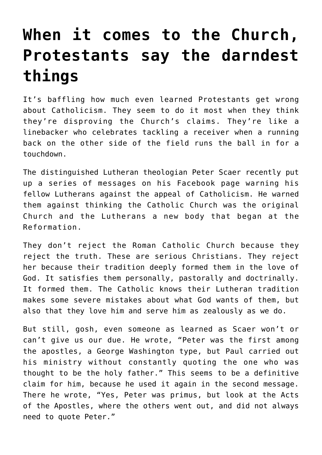## **[When it comes to the Church,](https://www.osvnews.com/2021/10/04/when-it-comes-to-the-church-protestants-say-the-darndest-things/) [Protestants say the darndest](https://www.osvnews.com/2021/10/04/when-it-comes-to-the-church-protestants-say-the-darndest-things/) [things](https://www.osvnews.com/2021/10/04/when-it-comes-to-the-church-protestants-say-the-darndest-things/)**

It's baffling how much even learned Protestants get wrong about Catholicism. They seem to do it most when they think they're disproving the Church's claims. They're like a linebacker who celebrates tackling a receiver when a running back on the other side of the field runs the ball in for a touchdown.

The distinguished Lutheran theologian Peter Scaer recently put up a series of messages on his Facebook page warning his fellow Lutherans against the appeal of Catholicism. He warned them against thinking the Catholic Church was the original Church and the Lutherans a new body that began at the Reformation.

They don't reject the Roman Catholic Church because they reject the truth. These are serious Christians. They reject her because their tradition deeply formed them in the love of God. It satisfies them personally, pastorally and doctrinally. It formed them. The Catholic knows their Lutheran tradition makes some severe mistakes about what God wants of them, but also that they love him and serve him as zealously as we do.

But still, gosh, even someone as learned as Scaer won't or can't give us our due. He wrote, "Peter was the first among the apostles, a George Washington type, but Paul carried out his ministry without constantly quoting the one who was thought to be the holy father." This seems to be a definitive claim for him, because he used it again in the second message. There he wrote, "Yes, Peter was primus, but look at the Acts of the Apostles, where the others went out, and did not always need to quote Peter."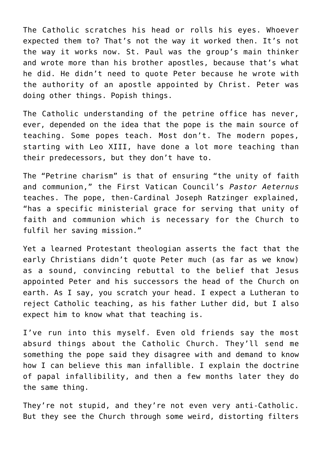The Catholic scratches his head or rolls his eyes. Whoever expected them to? That's not the way it worked then. It's not the way it works now. St. Paul was the group's main thinker and wrote more than his brother apostles, because that's what he did. He didn't need to quote Peter because he wrote with the authority of an apostle appointed by Christ. Peter was doing other things. Popish things.

The Catholic understanding of the petrine office has never, ever, depended on the idea that the pope is the main source of teaching. Some popes teach. Most don't. The modern popes, starting with Leo XIII, have done a lot more teaching than their predecessors, but they don't have to.

The "Petrine charism" is that of ensuring "the unity of faith and communion," the First Vatican Council's *Pastor Aeternus* teaches. The pope, then-Cardinal Joseph Ratzinger explained, "has a specific ministerial grace for serving that unity of faith and communion which is necessary for the Church to fulfil her saving mission."

Yet a learned Protestant theologian asserts the fact that the early Christians didn't quote Peter much (as far as we know) as a sound, convincing rebuttal to the belief that Jesus appointed Peter and his successors the head of the Church on earth. As I say, you scratch your head. I expect a Lutheran to reject Catholic teaching, as his father Luther did, but I also expect him to know what that teaching is.

I've run into this myself. Even old friends say the most absurd things about the Catholic Church. They'll send me something the pope said they disagree with and demand to know how I can believe this man infallible. I explain the doctrine of papal infallibility, and then a few months later they do the same thing.

They're not stupid, and they're not even very anti-Catholic. But they see the Church through some weird, distorting filters